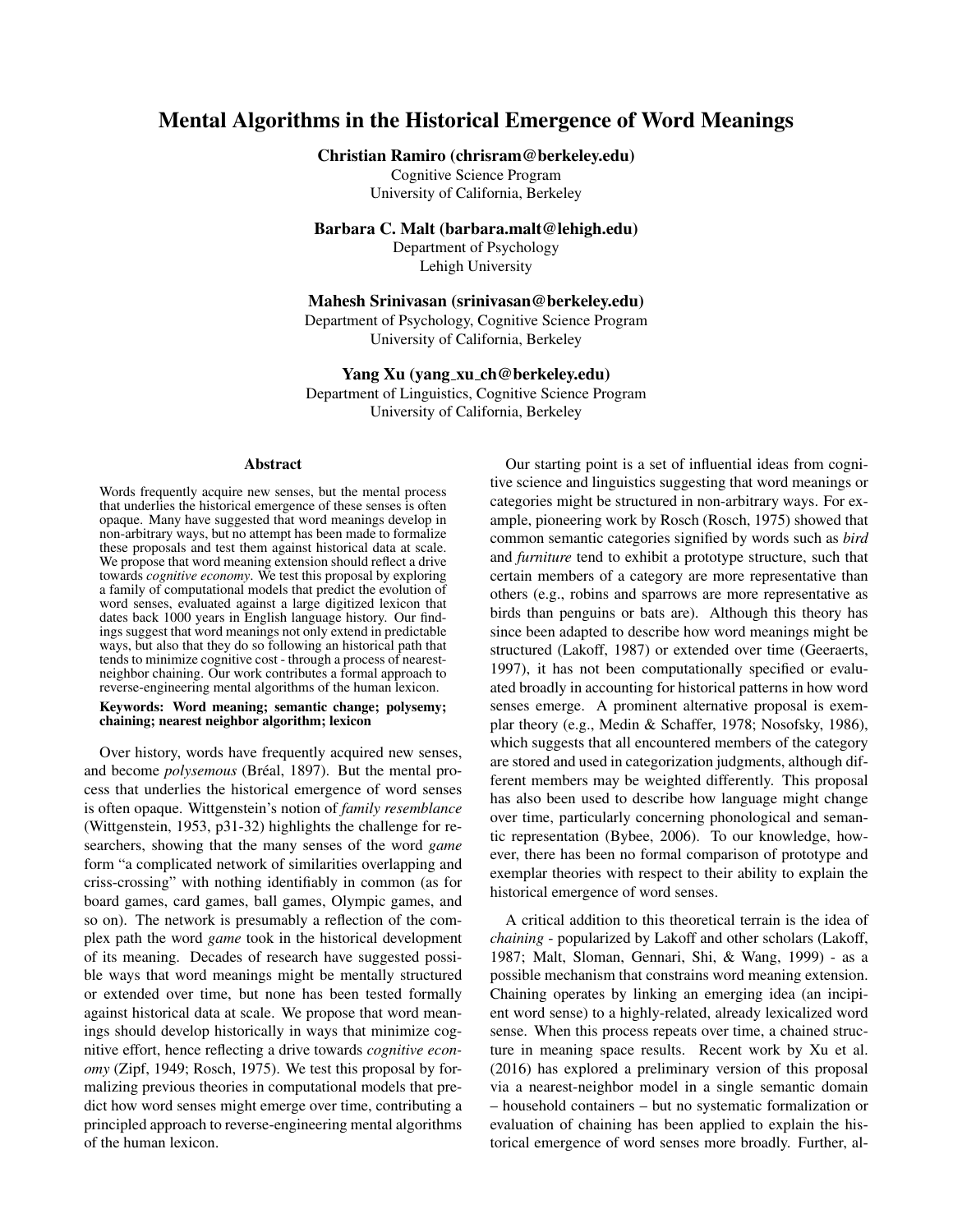# Mental Algorithms in the Historical Emergence of Word Meanings

Christian Ramiro (chrisram@berkeley.edu)

Cognitive Science Program University of California, Berkeley

Barbara C. Malt (barbara.malt@lehigh.edu)

Department of Psychology Lehigh University

Mahesh Srinivasan (srinivasan@berkeley.edu)

Department of Psychology, Cognitive Science Program University of California, Berkeley

## Yang Xu (yang xu ch@berkeley.edu)

Department of Linguistics, Cognitive Science Program University of California, Berkeley

#### Abstract

Words frequently acquire new senses, but the mental process that underlies the historical emergence of these senses is often opaque. Many have suggested that word meanings develop in non-arbitrary ways, but no attempt has been made to formalize these proposals and test them against historical data at scale. We propose that word meaning extension should reflect a drive towards *cognitive economy*. We test this proposal by exploring a family of computational models that predict the evolution of word senses, evaluated against a large digitized lexicon that dates back 1000 years in English language history. Our findings suggest that word meanings not only extend in predictable ways, but also that they do so following an historical path that tends to minimize cognitive cost - through a process of nearestneighbor chaining. Our work contributes a formal approach to reverse-engineering mental algorithms of the human lexicon.

#### Keywords: Word meaning; semantic change; polysemy; chaining; nearest neighbor algorithm; lexicon

Over history, words have frequently acquired new senses, and become *polysemous* (Bréal, 1897). But the mental process that underlies the historical emergence of word senses is often opaque. Wittgenstein's notion of *family resemblance* (Wittgenstein, 1953, p31-32) highlights the challenge for researchers, showing that the many senses of the word *game* form "a complicated network of similarities overlapping and criss-crossing" with nothing identifiably in common (as for board games, card games, ball games, Olympic games, and so on). The network is presumably a reflection of the complex path the word *game* took in the historical development of its meaning. Decades of research have suggested possible ways that word meanings might be mentally structured or extended over time, but none has been tested formally against historical data at scale. We propose that word meanings should develop historically in ways that minimize cognitive effort, hence reflecting a drive towards *cognitive economy* (Zipf, 1949; Rosch, 1975). We test this proposal by formalizing previous theories in computational models that predict how word senses might emerge over time, contributing a principled approach to reverse-engineering mental algorithms of the human lexicon.

Our starting point is a set of influential ideas from cognitive science and linguistics suggesting that word meanings or categories might be structured in non-arbitrary ways. For example, pioneering work by Rosch (Rosch, 1975) showed that common semantic categories signified by words such as *bird* and *furniture* tend to exhibit a prototype structure, such that certain members of a category are more representative than others (e.g., robins and sparrows are more representative as birds than penguins or bats are). Although this theory has since been adapted to describe how word meanings might be structured (Lakoff, 1987) or extended over time (Geeraerts, 1997), it has not been computationally specified or evaluated broadly in accounting for historical patterns in how word senses emerge. A prominent alternative proposal is exemplar theory (e.g., Medin & Schaffer, 1978; Nosofsky, 1986), which suggests that all encountered members of the category are stored and used in categorization judgments, although different members may be weighted differently. This proposal has also been used to describe how language might change over time, particularly concerning phonological and semantic representation (Bybee, 2006). To our knowledge, however, there has been no formal comparison of prototype and exemplar theories with respect to their ability to explain the historical emergence of word senses.

A critical addition to this theoretical terrain is the idea of *chaining* - popularized by Lakoff and other scholars (Lakoff, 1987; Malt, Sloman, Gennari, Shi, & Wang, 1999) - as a possible mechanism that constrains word meaning extension. Chaining operates by linking an emerging idea (an incipient word sense) to a highly-related, already lexicalized word sense. When this process repeats over time, a chained structure in meaning space results. Recent work by Xu et al. (2016) has explored a preliminary version of this proposal via a nearest-neighbor model in a single semantic domain – household containers – but no systematic formalization or evaluation of chaining has been applied to explain the historical emergence of word senses more broadly. Further, al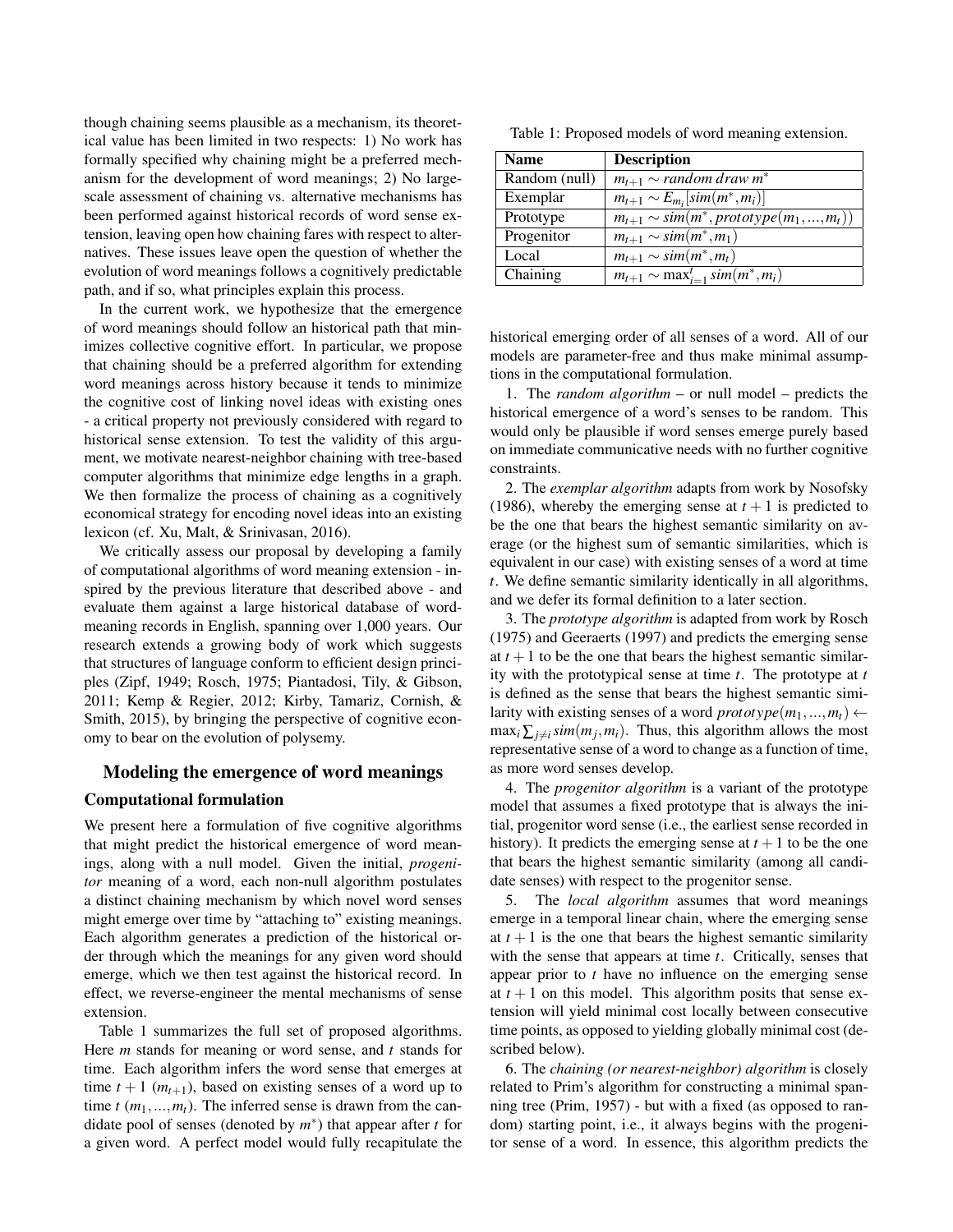though chaining seems plausible as a mechanism, its theoretical value has been limited in two respects: 1) No work has formally specified why chaining might be a preferred mechanism for the development of word meanings; 2) No largescale assessment of chaining vs. alternative mechanisms has been performed against historical records of word sense extension, leaving open how chaining fares with respect to alternatives. These issues leave open the question of whether the evolution of word meanings follows a cognitively predictable path, and if so, what principles explain this process.

In the current work, we hypothesize that the emergence of word meanings should follow an historical path that minimizes collective cognitive effort. In particular, we propose that chaining should be a preferred algorithm for extending word meanings across history because it tends to minimize the cognitive cost of linking novel ideas with existing ones - a critical property not previously considered with regard to historical sense extension. To test the validity of this argument, we motivate nearest-neighbor chaining with tree-based computer algorithms that minimize edge lengths in a graph. We then formalize the process of chaining as a cognitively economical strategy for encoding novel ideas into an existing lexicon (cf. Xu, Malt, & Srinivasan, 2016).

We critically assess our proposal by developing a family of computational algorithms of word meaning extension - inspired by the previous literature that described above - and evaluate them against a large historical database of wordmeaning records in English, spanning over 1,000 years. Our research extends a growing body of work which suggests that structures of language conform to efficient design principles (Zipf, 1949; Rosch, 1975; Piantadosi, Tily, & Gibson, 2011; Kemp & Regier, 2012; Kirby, Tamariz, Cornish, & Smith, 2015), by bringing the perspective of cognitive economy to bear on the evolution of polysemy.

### Modeling the emergence of word meanings

### Computational formulation

We present here a formulation of five cognitive algorithms that might predict the historical emergence of word meanings, along with a null model. Given the initial, *progenitor* meaning of a word, each non-null algorithm postulates a distinct chaining mechanism by which novel word senses might emerge over time by "attaching to" existing meanings. Each algorithm generates a prediction of the historical order through which the meanings for any given word should emerge, which we then test against the historical record. In effect, we reverse-engineer the mental mechanisms of sense extension.

Table 1 summarizes the full set of proposed algorithms. Here *m* stands for meaning or word sense, and *t* stands for time. Each algorithm infers the word sense that emerges at time  $t + 1$  ( $m_{t+1}$ ), based on existing senses of a word up to time  $t$  ( $m_1, ..., m_t$ ). The inferred sense is drawn from the candidate pool of senses (denoted by *m* ∗ ) that appear after *t* for a given word. A perfect model would fully recapitulate the

Table 1: Proposed models of word meaning extension.

| <b>Name</b>   | <b>Description</b>                                      |
|---------------|---------------------------------------------------------|
| Random (null) | $m_{t+1} \sim$ random draw $m^*$                        |
| Exemplar      | $m_{t+1} \sim E_{m_i}[sim(m^*,m_i)]$                    |
| Prototype     | $\overline{m_{t+1}} \sim sim(m^*, prototype(m_1,,m_t))$ |
| Progenitor    | $m_{t+1} \sim sim(m^*, m_1)$                            |
| Local         | $m_{t+1} \sim sim(m^*, m_t)$                            |
| Chaining      | $m_{t+1} \sim \max_{i=1}^t \text{sim}(m^*, m_i)$        |

historical emerging order of all senses of a word. All of our models are parameter-free and thus make minimal assumptions in the computational formulation.

1. The *random algorithm* – or null model – predicts the historical emergence of a word's senses to be random. This would only be plausible if word senses emerge purely based on immediate communicative needs with no further cognitive constraints.

2. The *exemplar algorithm* adapts from work by Nosofsky (1986), whereby the emerging sense at  $t + 1$  is predicted to be the one that bears the highest semantic similarity on average (or the highest sum of semantic similarities, which is equivalent in our case) with existing senses of a word at time *t*. We define semantic similarity identically in all algorithms, and we defer its formal definition to a later section.

3. The *prototype algorithm* is adapted from work by Rosch (1975) and Geeraerts (1997) and predicts the emerging sense at  $t + 1$  to be the one that bears the highest semantic similarity with the prototypical sense at time *t*. The prototype at *t* is defined as the sense that bears the highest semantic similarity with existing senses of a word  $\text{prototype}(m_1, ..., m_t) \leftarrow$  $\max_i \sum_{j \neq i} \text{sim}(m_j, m_i)$ . Thus, this algorithm allows the most representative sense of a word to change as a function of time, as more word senses develop.

4. The *progenitor algorithm* is a variant of the prototype model that assumes a fixed prototype that is always the initial, progenitor word sense (i.e., the earliest sense recorded in history). It predicts the emerging sense at  $t + 1$  to be the one that bears the highest semantic similarity (among all candidate senses) with respect to the progenitor sense.

5. The *local algorithm* assumes that word meanings emerge in a temporal linear chain, where the emerging sense at  $t + 1$  is the one that bears the highest semantic similarity with the sense that appears at time *t*. Critically, senses that appear prior to *t* have no influence on the emerging sense at  $t + 1$  on this model. This algorithm posits that sense extension will yield minimal cost locally between consecutive time points, as opposed to yielding globally minimal cost (described below).

6. The *chaining (or nearest-neighbor) algorithm* is closely related to Prim's algorithm for constructing a minimal spanning tree (Prim, 1957) - but with a fixed (as opposed to random) starting point, i.e., it always begins with the progenitor sense of a word. In essence, this algorithm predicts the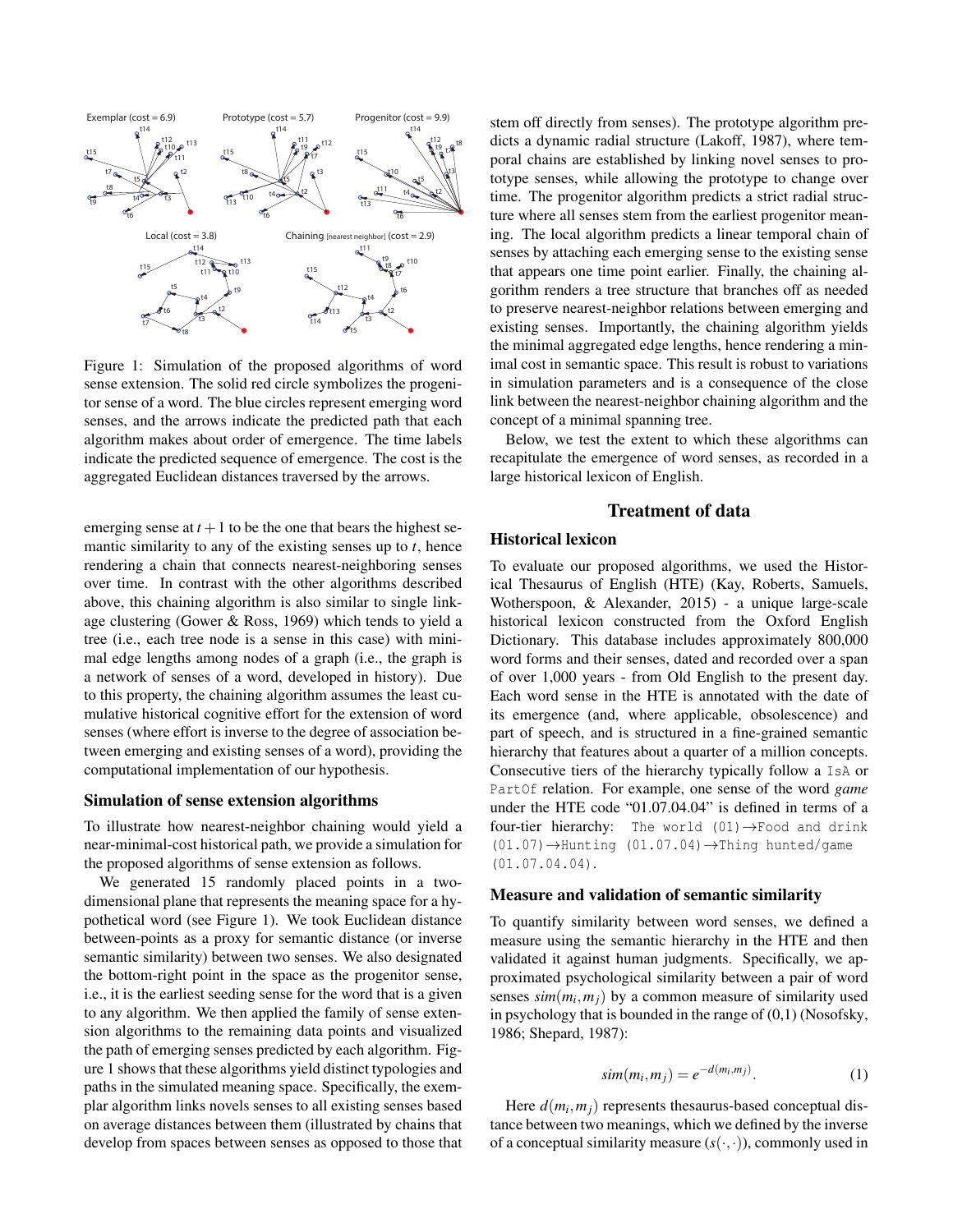

Figure 1: Simulation of the proposed algorithms of word sense extension. The solid red circle symbolizes the progenitor sense of a word. The blue circles represent emerging word senses, and the arrows indicate the predicted path that each algorithm makes about order of emergence. The time labels indicate the predicted sequence of emergence. The cost is the aggregated Euclidean distances traversed by the arrows.

emerging sense at  $t + 1$  to be the one that bears the highest semantic similarity to any of the existing senses up to *t*, hence rendering a chain that connects nearest-neighboring senses over time. In contrast with the other algorithms described above, this chaining algorithm is also similar to single linkage clustering (Gower & Ross, 1969) which tends to yield a tree (i.e., each tree node is a sense in this case) with minimal edge lengths among nodes of a graph (i.e., the graph is a network of senses of a word, developed in history). Due to this property, the chaining algorithm assumes the least cumulative historical cognitive effort for the extension of word senses (where effort is inverse to the degree of association between emerging and existing senses of a word), providing the computational implementation of our hypothesis.

#### Simulation of sense extension algorithms

To illustrate how nearest-neighbor chaining would yield a near-minimal-cost historical path, we provide a simulation for the proposed algorithms of sense extension as follows.

We generated 15 randomly placed points in a twodimensional plane that represents the meaning space for a hypothetical word (see Figure 1). We took Euclidean distance between-points as a proxy for semantic distance (or inverse semantic similarity) between two senses. We also designated the bottom-right point in the space as the progenitor sense, i.e., it is the earliest seeding sense for the word that is a given to any algorithm. We then applied the family of sense extension algorithms to the remaining data points and visualized the path of emerging senses predicted by each algorithm. Figure 1 shows that these algorithms yield distinct typologies and paths in the simulated meaning space. Specifically, the exemplar algorithm links novels senses to all existing senses based on average distances between them (illustrated by chains that develop from spaces between senses as opposed to those that

stem off directly from senses). The prototype algorithm predicts a dynamic radial structure (Lakoff, 1987), where temporal chains are established by linking novel senses to prototype senses, while allowing the prototype to change over time. The progenitor algorithm predicts a strict radial structure where all senses stem from the earliest progenitor meaning. The local algorithm predicts a linear temporal chain of senses by attaching each emerging sense to the existing sense that appears one time point earlier. Finally, the chaining algorithm renders a tree structure that branches off as needed to preserve nearest-neighbor relations between emerging and existing senses. Importantly, the chaining algorithm yields the minimal aggregated edge lengths, hence rendering a minimal cost in semantic space. This result is robust to variations in simulation parameters and is a consequence of the close link between the nearest-neighbor chaining algorithm and the concept of a minimal spanning tree.

Below, we test the extent to which these algorithms can recapitulate the emergence of word senses, as recorded in a large historical lexicon of English.

# Treatment of data

# Historical lexicon

To evaluate our proposed algorithms, we used the Historical Thesaurus of English (HTE) (Kay, Roberts, Samuels, Wotherspoon, & Alexander, 2015) - a unique large-scale historical lexicon constructed from the Oxford English Dictionary. This database includes approximately 800,000 word forms and their senses, dated and recorded over a span of over 1,000 years - from Old English to the present day. Each word sense in the HTE is annotated with the date of its emergence (and, where applicable, obsolescence) and part of speech, and is structured in a fine-grained semantic hierarchy that features about a quarter of a million concepts. Consecutive tiers of the hierarchy typically follow a IsA or PartOf relation. For example, one sense of the word *game* under the HTE code "01.07.04.04" is defined in terms of a four-tier hierarchy: The world  $(01) \rightarrow$  Food and drink (01.07)→Hunting (01.07.04)→Thing hunted/game (01.07.04.04).

### Measure and validation of semantic similarity

To quantify similarity between word senses, we defined a measure using the semantic hierarchy in the HTE and then validated it against human judgments. Specifically, we approximated psychological similarity between a pair of word senses  $sim(m_i, m_j)$  by a common measure of similarity used in psychology that is bounded in the range of  $(0,1)$  (Nosofsky, 1986; Shepard, 1987):

$$
sim(m_i, m_j) = e^{-d(m_i, m_j)}.
$$
 (1)

Here *d*(*m<sup>i</sup>* ,*mj*) represents thesaurus-based conceptual distance between two meanings, which we defined by the inverse of a conceptual similarity measure  $(s(\cdot,\cdot))$ , commonly used in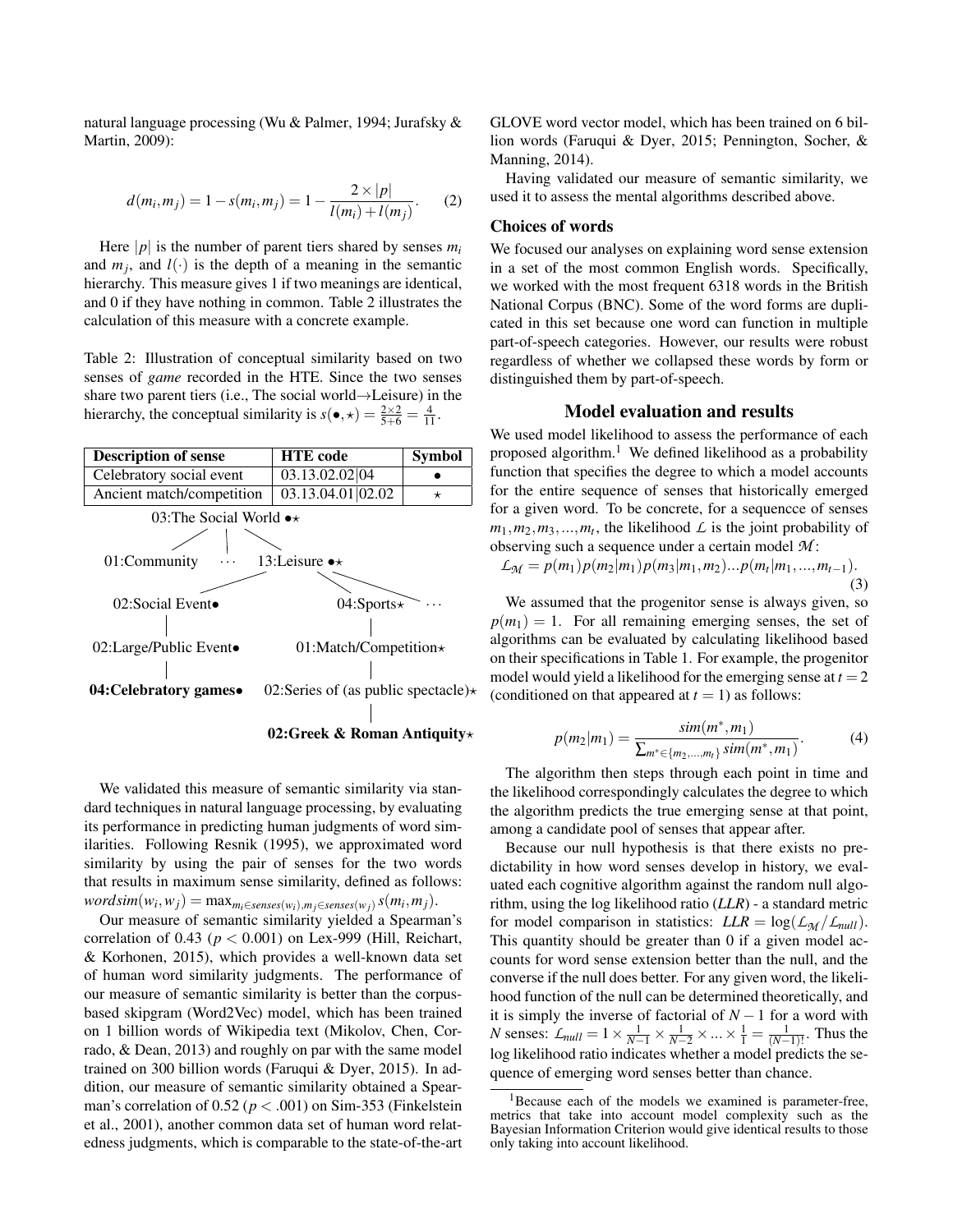natural language processing (Wu & Palmer, 1994; Jurafsky & Martin, 2009):

$$
d(m_i, m_j) = 1 - s(m_i, m_j) = 1 - \frac{2 \times |p|}{l(m_i) + l(m_j)}.
$$
 (2)

Here  $|p|$  is the number of parent tiers shared by senses  $m_i$ and  $m_j$ , and  $l(\cdot)$  is the depth of a meaning in the semantic hierarchy. This measure gives 1 if two meanings are identical, and 0 if they have nothing in common. Table 2 illustrates the calculation of this measure with a concrete example.

Table 2: Illustration of conceptual similarity based on two senses of *game* recorded in the HTE. Since the two senses share two parent tiers (i.e., The social world→Leisure) in the hierarchy, the conceptual similarity is  $s(\bullet, \star) = \frac{2 \times 2}{5 + 6} = \frac{4}{11}$ .



We validated this measure of semantic similarity via standard techniques in natural language processing, by evaluating its performance in predicting human judgments of word similarities. Following Resnik (1995), we approximated word similarity by using the pair of senses for the two words that results in maximum sense similarity, defined as follows:  $wordsim(w_i, w_j) = max_{m_i \in senses(w_i), m_j \in senses(w_j)} s(m_i, m_j).$ 

Our measure of semantic similarity yielded a Spearman's correlation of 0.43 (*p* < 0.001) on Lex-999 (Hill, Reichart, & Korhonen, 2015), which provides a well-known data set of human word similarity judgments. The performance of our measure of semantic similarity is better than the corpusbased skipgram (Word2Vec) model, which has been trained on 1 billion words of Wikipedia text (Mikolov, Chen, Corrado, & Dean, 2013) and roughly on par with the same model trained on 300 billion words (Faruqui & Dyer, 2015). In addition, our measure of semantic similarity obtained a Spearman's correlation of  $0.52$  ( $p < .001$ ) on Sim-353 (Finkelstein et al., 2001), another common data set of human word relatedness judgments, which is comparable to the state-of-the-art GLOVE word vector model, which has been trained on 6 billion words (Faruqui & Dyer, 2015; Pennington, Socher, & Manning, 2014).

Having validated our measure of semantic similarity, we used it to assess the mental algorithms described above.

### Choices of words

We focused our analyses on explaining word sense extension in a set of the most common English words. Specifically, we worked with the most frequent 6318 words in the British National Corpus (BNC). Some of the word forms are duplicated in this set because one word can function in multiple part-of-speech categories. However, our results were robust regardless of whether we collapsed these words by form or distinguished them by part-of-speech.

# Model evaluation and results

We used model likelihood to assess the performance of each proposed algorithm.<sup>1</sup> We defined likelihood as a probability function that specifies the degree to which a model accounts for the entire sequence of senses that historically emerged for a given word. To be concrete, for a sequencce of senses  $m_1, m_2, m_3, \ldots, m_t$ , the likelihood  $\mathcal L$  is the joint probability of observing such a sequence under a certain model *M* :

$$
\mathcal{L}_{\mathcal{M}} = p(m_1)p(m_2|m_1)p(m_3|m_1,m_2)...p(m_t|m_1,...,m_{t-1}).
$$
\n(3)

We assumed that the progenitor sense is always given, so  $p(m_1) = 1$ . For all remaining emerging senses, the set of algorithms can be evaluated by calculating likelihood based on their specifications in Table 1. For example, the progenitor model would yield a likelihood for the emerging sense at  $t = 2$ (conditioned on that appeared at  $t = 1$ ) as follows:

$$
p(m_2|m_1) = \frac{sim(m^*,m_1)}{\sum_{m^* \in \{m_2,\dots,m_t\}} sim(m^*,m_1)}.
$$
 (4)

The algorithm then steps through each point in time and the likelihood correspondingly calculates the degree to which the algorithm predicts the true emerging sense at that point, among a candidate pool of senses that appear after.

Because our null hypothesis is that there exists no predictability in how word senses develop in history, we evaluated each cognitive algorithm against the random null algorithm, using the log likelihood ratio (*LLR*) - a standard metric for model comparison in statistics:  $LLR = \log(L_M/L_{null})$ . This quantity should be greater than 0 if a given model accounts for word sense extension better than the null, and the converse if the null does better. For any given word, the likelihood function of the null can be determined theoretically, and it is simply the inverse of factorial of *N* − 1 for a word with *N* senses:  $L_{null} = 1 \times \frac{1}{N-1} \times \frac{1}{N-2} \times ... \times \frac{1}{1} = \frac{1}{(N-1)!}$ . Thus the log likelihood ratio indicates whether a model predicts the sequence of emerging word senses better than chance.

<sup>&</sup>lt;sup>1</sup>Because each of the models we examined is parameter-free, metrics that take into account model complexity such as the Bayesian Information Criterion would give identical results to those only taking into account likelihood.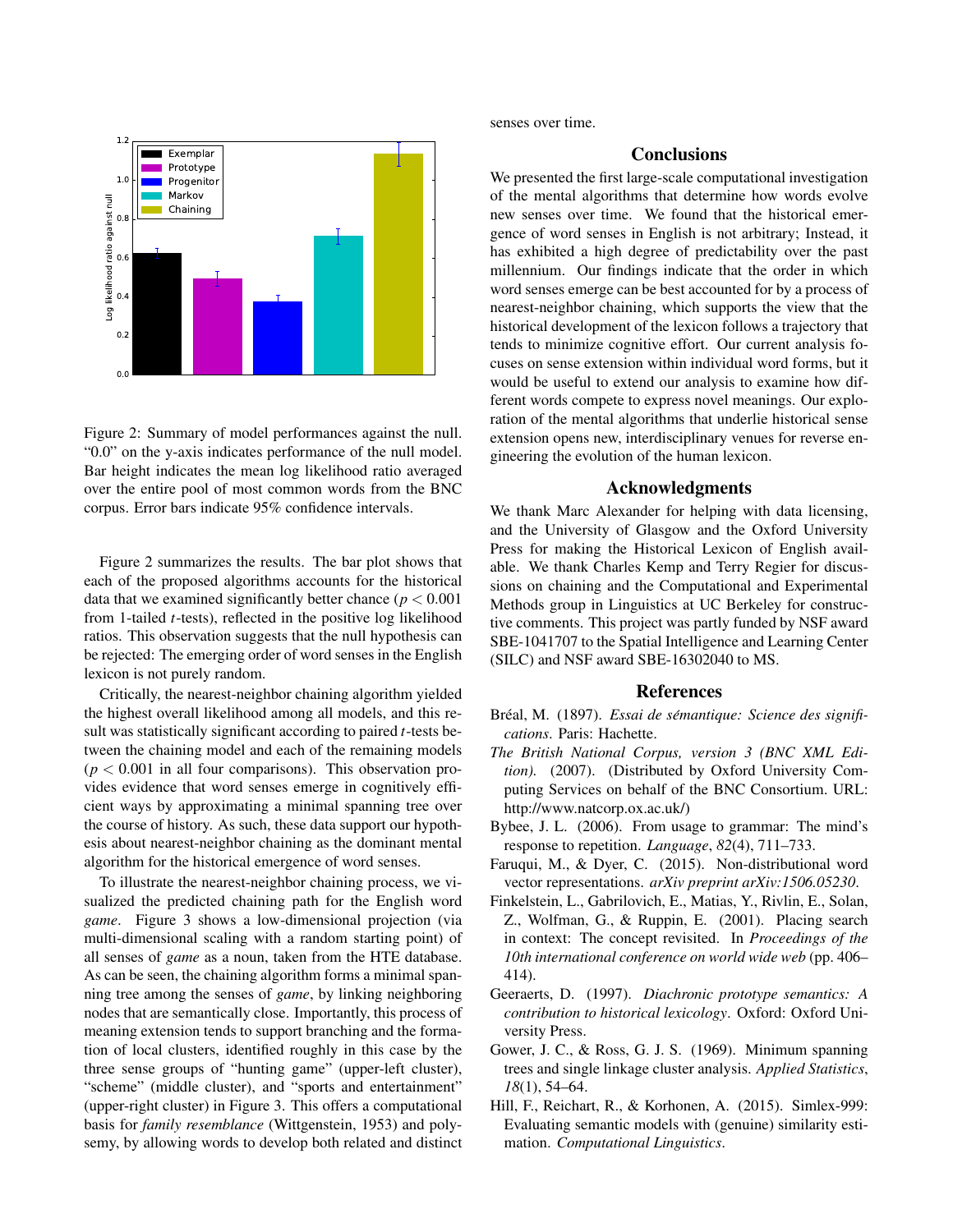

Figure 2: Summary of model performances against the null. "0.0" on the y-axis indicates performance of the null model. Bar height indicates the mean log likelihood ratio averaged over the entire pool of most common words from the BNC corpus. Error bars indicate 95% confidence intervals.

Figure 2 summarizes the results. The bar plot shows that each of the proposed algorithms accounts for the historical data that we examined significantly better chance  $(p < 0.001)$ from 1-tailed *t*-tests), reflected in the positive log likelihood ratios. This observation suggests that the null hypothesis can be rejected: The emerging order of word senses in the English lexicon is not purely random.

Critically, the nearest-neighbor chaining algorithm yielded the highest overall likelihood among all models, and this result was statistically significant according to paired *t*-tests between the chaining model and each of the remaining models  $(p < 0.001$  in all four comparisons). This observation provides evidence that word senses emerge in cognitively efficient ways by approximating a minimal spanning tree over the course of history. As such, these data support our hypothesis about nearest-neighbor chaining as the dominant mental algorithm for the historical emergence of word senses.

To illustrate the nearest-neighbor chaining process, we visualized the predicted chaining path for the English word *game*. Figure 3 shows a low-dimensional projection (via multi-dimensional scaling with a random starting point) of all senses of *game* as a noun, taken from the HTE database. As can be seen, the chaining algorithm forms a minimal spanning tree among the senses of *game*, by linking neighboring nodes that are semantically close. Importantly, this process of meaning extension tends to support branching and the formation of local clusters, identified roughly in this case by the three sense groups of "hunting game" (upper-left cluster), "scheme" (middle cluster), and "sports and entertainment" (upper-right cluster) in Figure 3. This offers a computational basis for *family resemblance* (Wittgenstein, 1953) and polysemy, by allowing words to develop both related and distinct senses over time.

# **Conclusions**

We presented the first large-scale computational investigation of the mental algorithms that determine how words evolve new senses over time. We found that the historical emergence of word senses in English is not arbitrary; Instead, it has exhibited a high degree of predictability over the past millennium. Our findings indicate that the order in which word senses emerge can be best accounted for by a process of nearest-neighbor chaining, which supports the view that the historical development of the lexicon follows a trajectory that tends to minimize cognitive effort. Our current analysis focuses on sense extension within individual word forms, but it would be useful to extend our analysis to examine how different words compete to express novel meanings. Our exploration of the mental algorithms that underlie historical sense extension opens new, interdisciplinary venues for reverse engineering the evolution of the human lexicon.

## Acknowledgments

We thank Marc Alexander for helping with data licensing, and the University of Glasgow and the Oxford University Press for making the Historical Lexicon of English available. We thank Charles Kemp and Terry Regier for discussions on chaining and the Computational and Experimental Methods group in Linguistics at UC Berkeley for constructive comments. This project was partly funded by NSF award SBE-1041707 to the Spatial Intelligence and Learning Center (SILC) and NSF award SBE-16302040 to MS.

#### References

- Bréal, M. (1897). Essai de sémantique: Science des signifi*cations*. Paris: Hachette.
- *The British National Corpus, version 3 (BNC XML Edition).* (2007). (Distributed by Oxford University Computing Services on behalf of the BNC Consortium. URL: http://www.natcorp.ox.ac.uk/)
- Bybee, J. L. (2006). From usage to grammar: The mind's response to repetition. *Language*, *82*(4), 711–733.
- Faruqui, M., & Dyer, C. (2015). Non-distributional word vector representations. *arXiv preprint arXiv:1506.05230*.
- Finkelstein, L., Gabrilovich, E., Matias, Y., Rivlin, E., Solan, Z., Wolfman, G., & Ruppin, E. (2001). Placing search in context: The concept revisited. In *Proceedings of the 10th international conference on world wide web* (pp. 406– 414).
- Geeraerts, D. (1997). *Diachronic prototype semantics: A contribution to historical lexicology*. Oxford: Oxford University Press.
- Gower, J. C., & Ross, G. J. S. (1969). Minimum spanning trees and single linkage cluster analysis. *Applied Statistics*, *18*(1), 54–64.
- Hill, F., Reichart, R., & Korhonen, A. (2015). Simlex-999: Evaluating semantic models with (genuine) similarity estimation. *Computational Linguistics*.